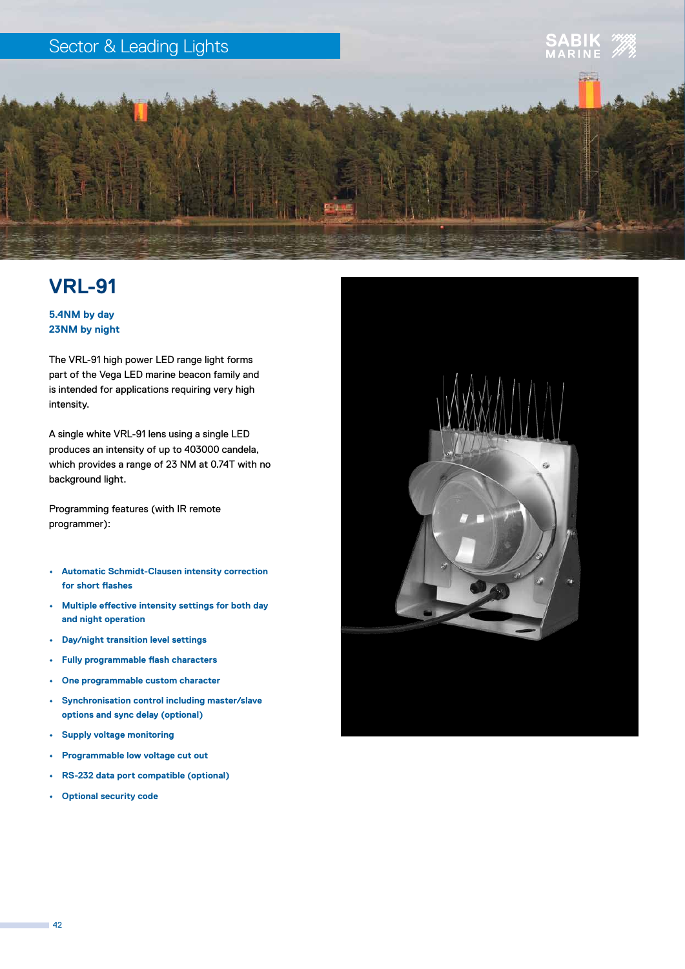

## **VRL-91**

**5.4NM by day 23NM by night**

The VRL-91 high power LED range light forms part of the Vega LED marine beacon family and is intended for applications requiring very high intensity.

A single white VRL-91 lens using a single LED produces an intensity of up to 403000 candela, which provides a range of 23 NM at 0.74T with no background light.

Programming features (with IR remote programmer):

- **• Automatic Schmidt-Clausen intensity correction for short flashes**
- **• Multiple effective intensity settings for both day and night operation**
- **• Day/night transition level settings**
- **• Fully programmable flash characters**
- **• One programmable custom character**
- **• Synchronisation control including master/slave options and sync delay (optional)**
- **• Supply voltage monitoring**
- **• Programmable low voltage cut out**
- **• RS-232 data port compatible (optional)**
- **• Optional security code**